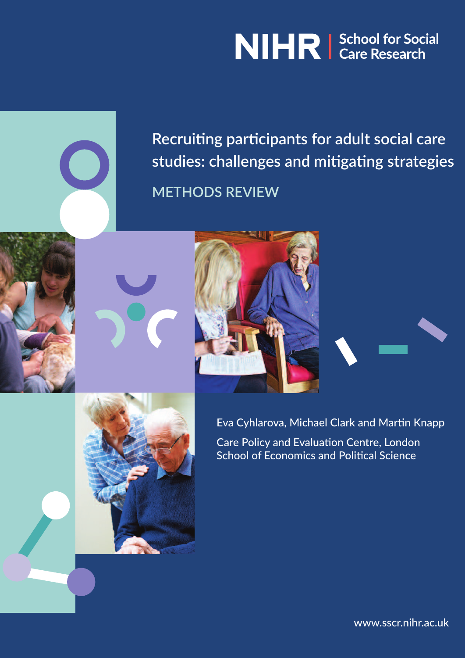# NIHR | School for Social



**Recruiting participants for adult social care studies: challenges and mitigating strategies METHODS REVIEW**







Eva Cyhlarova, Michael Clark and Martin Knapp Care Policy and Evaluation Centre, London School of Economics and Political Science

[www.sscr.nihr.ac.uk](http://www.nes.scot.nhs.uk/media/350872/acute_dementia_interactive_2011.pdf)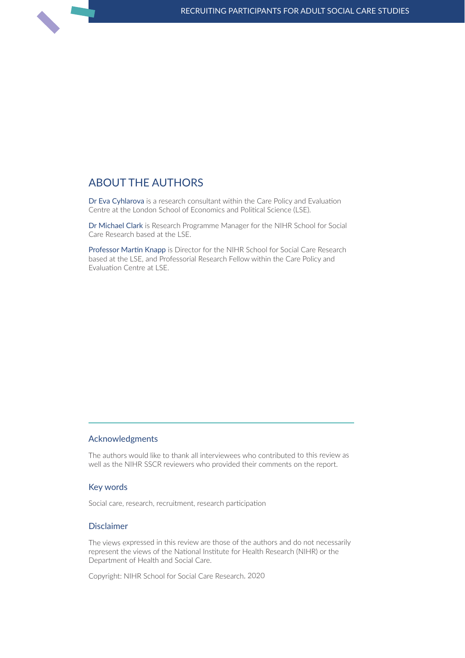## about the authoRs

Dr Eva Cyhlarova is a research consultant within the Care Policy and Evaluation Centre at the London School of Economics and Political Science (LSE).

Dr Michael Clark is Research Programme Manager for the NIHR School for Social Care Research based at the LSE.

Professor Martin Knapp is Director for the NIHR School for Social Care Research based at the LSE, and Professorial Research Fellow within the Care Policy and Evaluation Centre at LSE.

#### **Acknowledgments**

The authors would like to thank all interviewees who contributed to this review as well as the NIHR SSCR reviewers who provided their comments on the report.

#### Key words

Social care, research, recruitment, research participation

#### Disclaimer

The views expressed in this review are those of the authors and do not necessarily represent the views of the National Institute for Health Research (NIHR) or the Department of Health and Social Care.

Copyright: NIHR School for Social Care Research, 2020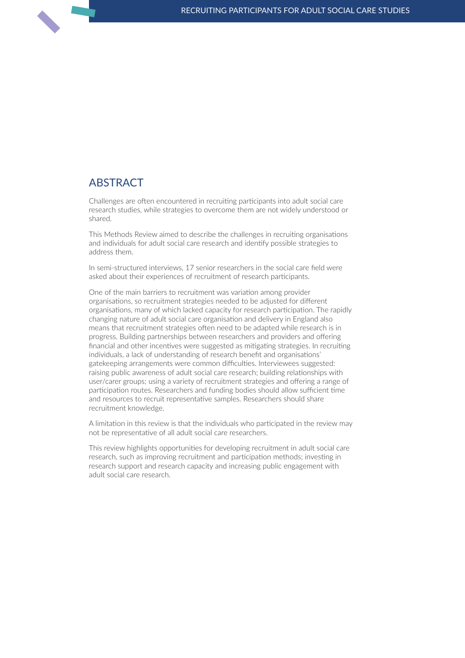## **ABSTRACT**

Challenges are often encountered in recruiting participants into adult social care research studies, while strategies to overcome them are not widely understood or shared.

This Methods Review aimed to describe the challenges in recruiting organisations and individuals for adult social care research and identify possible strategies to address them.

In semi-structured interviews, 17 senior researchers in the social care field were asked about their experiences of recruitment of research participants.

One of the main barriers to recruitment was variation among provider organisations, so recruitment strategies needed to be adjusted for different organisations, many of which lacked capacity for research participation. The rapidly changing nature of adult social care organisation and delivery in England also means that recruitment strategies often need to be adapted while research is in progress. Building partnerships between researchers and providers and offering financial and other incentives were suggested as mitigating strategies. In recruiting individuals, a lack of understanding of research benefit and organisations' gatekeeping arrangements were common difficulties. Interviewees suggested: raising public awareness of adult social care research; building relationships with user/carer groups; using a variety of recruitment strategies and offering a range of participation routes. Researchers and funding bodies should allow sufficient time and resources to recruit representative samples. Researchers should share recruitment knowledge.

A limitation in this review is that the individuals who participated in the review may not be representative of all adult social care researchers.

This review highlights opportunities for developing recruitment in adult social care research, such as improving recruitment and participation methods; investing in research support and research capacity and increasing public engagement with adult social care research.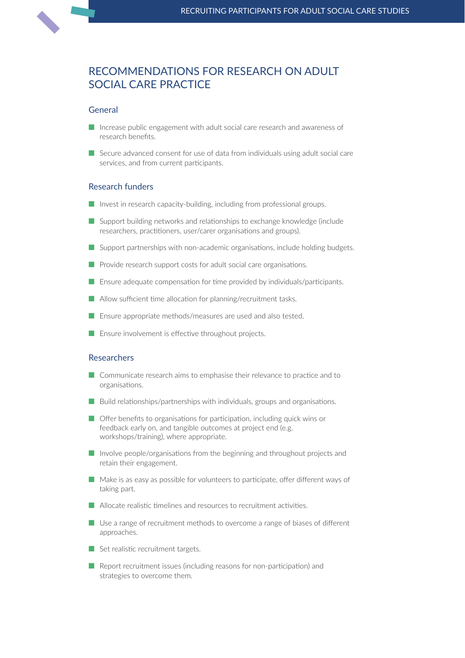## RecoMMendations foR ReseaRch on adult social caRe pRactice

#### General

- $\blacksquare$  Increase public engagement with adult social care research and awareness of research benefits.
- $\blacksquare$  Secure advanced consent for use of data from individuals using adult social care services, and from current participants.

#### Research funders

- $\blacksquare$  Invest in research capacity-building, including from professional groups.
- Support building networks and relationships to exchange knowledge (include researchers, practitioners, user/carer organisations and groups).
- $\blacksquare$  Support partnerships with non-academic organisations, include holding budgets.
- $\blacksquare$  Provide research support costs for adult social care organisations.
- $\blacksquare$  Ensure adequate compensation for time provided by individuals/participants.
- $\blacksquare$  Allow sufficient time allocation for planning/recruitment tasks.
- $\blacksquare$  Ensure appropriate methods/measures are used and also tested.
- $\blacksquare$  Ensure involvement is effective throughout projects.

#### Researchers

- Communicate research aims to emphasise their relevance to practice and to organisations.
- $\blacksquare$  Build relationships/partnerships with individuals, groups and organisations.
- $\blacksquare$  Offer benefits to organisations for participation, including quick wins or feedback early on, and tangible outcomes at project end (e.g. workshops/training), where appropriate.
- $\blacksquare$  Involve people/organisations from the beginning and throughout projects and retain their engagement.
- $\blacksquare$  Make is as easy as possible for volunteers to participate, offer different ways of taking part.
- $\blacksquare$  Allocate realistic timelines and resources to recruitment activities.
- $\blacksquare$  Use a range of recruitment methods to overcome a range of biases of different approaches.
- $\blacksquare$  Set realistic recruitment targets.
- $\blacksquare$  Report recruitment issues (including reasons for non-participation) and strategies to overcome them.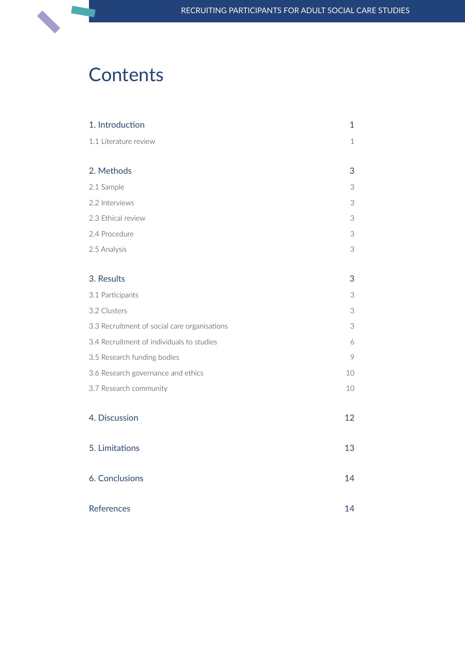## **Contents**

| 1. Introduction                              | $\mathbf{1}$               |
|----------------------------------------------|----------------------------|
| 1.1 Literature review                        | $1\,$                      |
|                                              |                            |
| 2. Methods                                   | 3                          |
| 2.1 Sample                                   | 3                          |
| 2.2 Interviews                               | 3                          |
| 2.3 Ethical review                           | $\ensuremath{\mathcal{S}}$ |
| 2.4 Procedure                                | $\ensuremath{\mathcal{S}}$ |
| 2.5 Analysis                                 | $\ensuremath{\mathsf{3}}$  |
| 3. Results                                   | 3                          |
| 3.1 Participants                             | 3                          |
| 3.2 Clusters                                 | 3                          |
| 3.3 Recruitment of social care organisations | 3                          |
| 3.4 Recruitment of individuals to studies    | 6                          |
| 3.5 Research funding bodies                  | $\circ$                    |
| 3.6 Research governance and ethics           | 10                         |
| 3.7 Research community                       | 10                         |
| 4. Discussion                                | 12                         |
| 5. Limitations                               | 13                         |
| 6. Conclusions                               | 14                         |
| <b>References</b>                            | 14                         |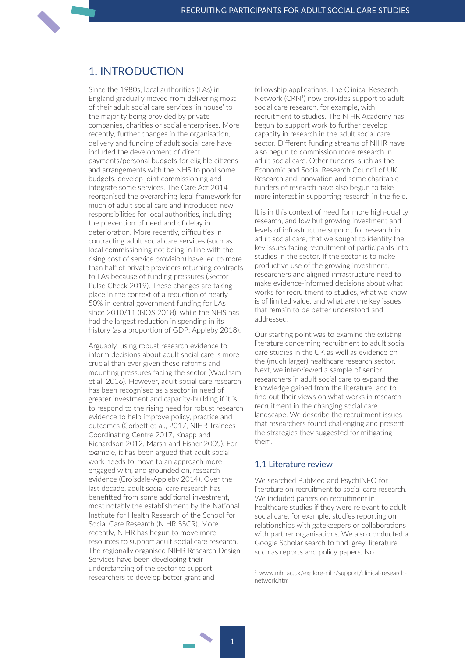## <span id="page-5-0"></span>1. intRoduction

Since the 1980s, local authorities (LAs) in England gradually moved from delivering most of their adult social care services 'in house' to the majority being provided by private companies, charities or social enterprises. More recently, further changes in the organisation, delivery and funding of adult social care have included the development of direct payments/personal budgets for eligible citizens and arrangements with the NHS to pool some budgets, develop joint commissioning and integrate some services. The Care Act 2014 reorganised the overarching legal framework for much of adult social care and introduced new responsibilities for local authorities, including the prevention of need and of delay in deterioration. More recently, difficulties in contracting adult social care services (such as local commissioning not being in line with the rising cost of service provision) have led to more than half of private providers returning contracts to LAs because of funding pressures (Sector Pulse Check 2019). These changes are taking place in the context of a reduction of nearly 50% in central government funding for LAs since 2010/11 (NOS 2018), while the NHS has had the largest reduction in spending in its history (as a proportion of GDP; Appleby 2018).

Arguably, using robust research evidence to inform decisions about adult social care is more crucial than ever given these reforms and mounting pressures facing the sector (Woolham et al. 2016). However, adult social care research has been recognised as a sector in need of greater investment and capacity-building if it is to respond to the rising need for robust research evidence to help improve policy, practice and outcomes (Corbett et al., 2017, NIHR Trainees Coordinating Centre 2017, Knapp and Richardson 2012, Marsh and Fisher 2005). For example, it has been argued that adult social work needs to move to an approach more engaged with, and grounded on, research evidence (Croisdale-Appleby 2014). Over the last decade, adult social care research has benefitted from some additional investment, most notably the establishment by the National Institute for Health Research of the School for Social Care Research (NIHR SSCR). More recently, NIHR has begun to move more resources to support adult social care research. The regionally organised NIHR Research Design Services have been developing their understanding of the sector to support researchers to develop better grant and

fellowship applications. The Clinical Research Network (CRN<sup>1</sup>) now provides support to adult social care research, for example, with recruitment to studies. The NIHR Academy has begun to support work to further develop capacity in research in the adult social care sector. Different funding streams of NIHR have also begun to commission more research in adult social care. Other funders, such as the Economic and Social Research Council of UK Research and Innovation and some charitable funders of research have also begun to take more interest in supporting research in the field.

It is in this context of need for more high-quality research, and low but growing investment and levels of infrastructure support for research in adult social care, that we sought to identify the key issues facing recruitment of participants into studies in the sector. If the sector is to make productive use of the growing investment, researchers and aligned infrastructure need to make evidence-informed decisions about what works for recruitment to studies, what we know is of limited value, and what are the key issues that remain to be better understood and addressed.

Our starting point was to examine the existing literature concerning recruitment to adult social care studies in the UK as well as evidence on the (much larger) healthcare research sector. Next, we interviewed a sample of senior researchers in adult social care to expand the knowledge gained from the literature, and to find out their views on what works in research recruitment in the changing social care landscape. We describe the recruitment issues that researchers found challenging and present the strategies they suggested for mitigating them.

#### 1.1 literature review

We searched PubMed and PsychINFO for literature on recruitment to social care research. We included papers on recruitment in healthcare studies if they were relevant to adult social care, for example, studies reporting on relationships with gatekeepers or collaborations with partner organisations. We also conducted a Google Scholar search to find 'grey' literature such as reports and policy papers. No

<sup>1</sup> [www.nihr.ac.uk/explore-nihr/support/clinical-research](https://www.nihr.ac.uk/explore-nihr/support/clinical-research-network.htm)[network.htm](https://www.nihr.ac.uk/explore-nihr/support/clinical-research-network.htm)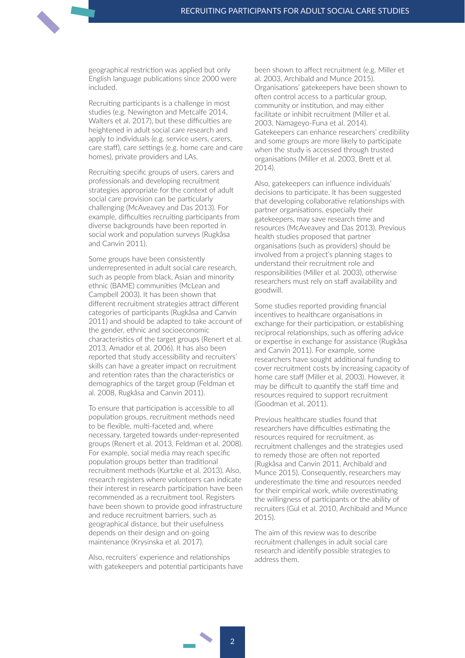geographical restriction was applied but only English language publications since 2000 were included.

Recruiting participants is a challenge in most studies (e.g. [Newington](https://www.ncbi.nlm.nih.gov/pubmed/?term=Newington%20L%5BAuthor%5D&cauthor=true&cauthor_uid=24456229) and [Metcalfe](https://www.ncbi.nlm.nih.gov/pubmed/?term=Metcalfe%20A%5BAuthor%5D&cauthor=true&cauthor_uid=24456229) 2014, Walters et al. 2017), but these difficulties are heightened in adult social care research and apply to individuals (e.g. service users, carers, care staff), care settings (e.g. home care and care homes), private providers and LAs.

Recruiting specific groups of users, carers and professionals and developing recruitment strategies appropriate for the context of adult social care provision can be particularly challenging (McAveavey and Das 2013). For example, difficulties recruiting participants from diverse backgrounds have been reported in social work and population surveys (Rugkåsa and Canvin 2011).

Some groups have been consistently underrepresented in adult social care research, such as people from black, Asian and minority ethnic (BAME) communities (McLean and Campbell 2003). It has been shown that different recruitment strategies attract different categories of participants (Rugkåsa and Canvin 2011) and should be adapted to take account of the gender, ethnic and socioeconomic characteristics of the target groups (Renert et al. 2013, Amador et al. 2006). It has also been reported that study accessibility and recruiters' skills can have a greater impact on recruitment and retention rates than the characteristics or demographics of the target group (Feldman et al. 2008, Rugkåsa and Canvin 2011).

To ensure that participation is accessible to all population groups, recruitment methods need to be flexible, multi-faceted and, where necessary, targeted towards under-represented groups (Renert et al. 2013, Feldman et al. 2008). For example, social media may reach specific population groups better than traditional recruitment methods (Kurtzke et al. 2013). Also, research registers where volunteers can indicate their interest in research participation have been recommended as a recruitment tool. Registers have been shown to provide good infrastructure and reduce recruitment barriers, such as geographical distance, but their usefulness depends on their design and on-going maintenance (Krysinska et al. 2017).

Also, recruiters' experience and relationships with gatekeepers and potential participants have been shown to affect recruitment (e.g. Miller et al. 2003, Archibald and Munce 2015). Organisations' gatekeepers have been shown to often control access to a particular group, community or institution, and may either facilitate or inhibit recruitment (Miller et al. 2003, Namageyo-Funa et al. 2014). Gatekeepers can enhance researchers' credibility and some groups are more likely to participate when the study is accessed through trusted organisations (Miller et al. 2003, Brett et al. 2014).

Also, gatekeepers can influence individuals' decisions to participate. It has been suggested that developing collaborative relationships with partner organisations, especially their gatekeepers, may save research time and resources (McAveavey and Das 2013). Previous health studies proposed that partner organisations (such as providers) should be involved from a project's planning stages to understand their recruitment role and responsibilities (Miller et al. 2003), otherwise researchers must rely on staff availability and goodwill.

Some studies reported providing financial incentives to healthcare organisations in exchange for their participation, or establishing reciprocal relationships, such as offering advice or expertise in exchange for assistance (Rugkåsa and Canvin 2011). For example, some researchers have sought additional funding to cover recruitment costs by increasing capacity of home care staff (Miller et al. 2003). However, it may be difficult to quantify the staff time and resources required to support recruitment (Goodman et al. 2011).

Previous healthcare studies found that researchers have difficulties estimating the resources required for recruitment, as recruitment challenges and the strategies used to remedy those are often not reported (Rugkåsa and Canvin 2011, Archibald and Munce 2015). Consequently, researchers may underestimate the time and resources needed for their empirical work, while overestimating the willingness of participants or the ability of recruiters (Gul et al. 2010, Archibald and Munce 2015).

The aim of this review was to describe recruitment challenges in adult social care research and identify possible strategies to address them.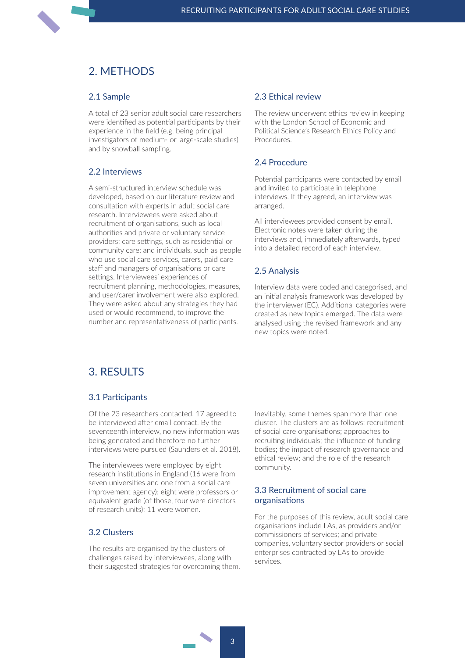## <span id="page-7-0"></span>2. MFTHODS

#### 2.1 sample

A total of 23 senior adult social care researchers were identified as potential participants by their experience in the field (e.g. being principal investigators of medium- or large-scale studies) and by snowball sampling.

#### 2.2 interviews

A semi-structured interview schedule was developed, based on our literature review and consultation with experts in adult social care research. Interviewees were asked about recruitment of organisations, such as local authorities and private or voluntary service providers; care settings, such as residential or community care; and individuals, such as people who use social care services, carers, paid care staff and managers of organisations or care settings. Interviewees' experiences of recruitment planning, methodologies, measures, and user/carer involvement were also explored. They were asked about any strategies they had used or would recommend, to improve the number and representativeness of participants.

#### 2.3 Ethical review

The review underwent ethics review in keeping with the London School of Economic and Political Science's Research Ethics Policy and Procedures.

### 2.4 procedure

Potential participants were contacted by email and invited to participate in telephone interviews. If they agreed, an interview was arranged.

All interviewees provided consent by email. Electronic notes were taken during the interviews and, immediately afterwards, typed into a detailed record of each interview.

#### 2.5 Analysis

Interview data were coded and categorised, and an initial analysis framework was developed by the interviewer (EC). Additional categories were created as new topics emerged. The data were analysed using the revised framework and any new topics were noted.

## 3. Results

#### 3.1 participants

Of the 23 researchers contacted, 17 agreed to be interviewed after email contact. By the seventeenth interview, no new information was being generated and therefore no further interviews were pursued (Saunders et al. 2018).

The interviewees were employed by eight research institutions in England (16 were from seven universities and one from a social care improvement agency); eight were professors or equivalent grade (of those, four were directors of research units); 11 were women.

#### 3.2 clusters

The results are organised by the clusters of challenges raised by interviewees, along with their suggested strategies for overcoming them. Inevitably, some themes span more than one cluster. The clusters are as follows: recruitment of social care organisations; approaches to recruiting individuals; the influence of funding bodies; the impact of research governance and ethical review; and the role of the research community.

#### 3.3 Recruitment of social care organisations

For the purposes of this review, adult social care organisations include LAs, as providers and/or commissioners of services; and private companies, voluntary sector providers or social enterprises contracted by LAs to provide services.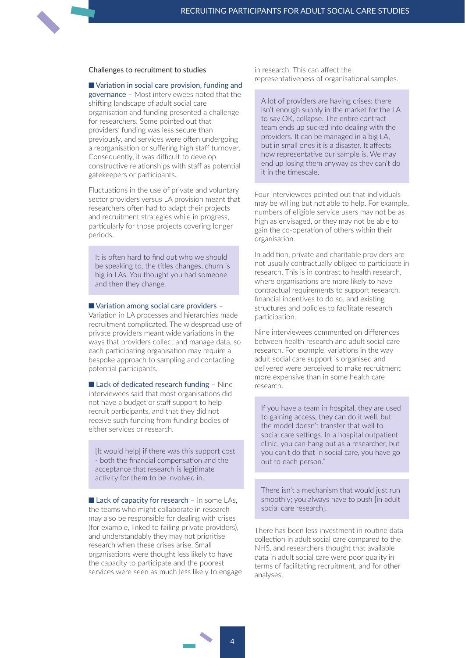#### challenges to recruitment to studies

 $\blacksquare$  Variation in social care provision, funding and governance – Most interviewees noted that the shifting landscape of adult social care organisation and funding presented a challenge for researchers. Some pointed out that providers' funding was less secure than previously, and services were often undergoing a reorganisation or suffering high staff turnover. Consequently, it was difficult to develop constructive relationships with staff as potential gatekeepers or participants.

Fluctuations in the use of private and voluntary sector providers versus LA provision meant that researchers often had to adapt their projects and recruitment strategies while in progress, particularly for those projects covering longer periods.

It is often hard to find out who we should be speaking to, the titles changes, churn is big in LAs. You thought you had someone and then they change.

#### $\blacksquare$  Variation among social care providers –

Variation in LA processes and hierarchies made recruitment complicated. The widespread use of private providers meant wide variations in the ways that providers collect and manage data, so each participating organisation may require a bespoke approach to sampling and contacting potential participants.

 $\blacksquare$  Lack of dedicated research funding – Nine interviewees said that most organisations did not have a budget or staff support to help recruit participants, and that they did not receive such funding from funding bodies of either services or research.

[It would help] if there was this support cost - both the financial compensation and the acceptance that research is legitimate activity for them to be involved in.

 $\blacksquare$  Lack of capacity for research – In some LAs, the teams who might collaborate in research may also be responsible for dealing with crises (for example, linked to failing private providers), and understandably they may not prioritise research when these crises arise. Small organisations were thought less likely to have the capacity to participate and the poorest services were seen as much less likely to engage in research. This can affect the representativeness of organisational samples.

A lot of providers are having crises; there isn't enough supply in the market for the LA to say OK, collapse. The entire contract team ends up sucked into dealing with the providers. It can be managed in a big LA, but in small ones it is a disaster. It affects how representative our sample is. We may end up losing them anyway as they can't do it in the timescale.

Four interviewees pointed out that individuals may be willing but not able to help. For example, numbers of eligible service users may not be as high as envisaged, or they may not be able to gain the co-operation of others within their organisation.

In addition, private and charitable providers are not usually contractually obliged to participate in research. This is in contrast to health research, where organisations are more likely to have contractual requirements to support research, financial incentives to do so, and existing structures and policies to facilitate research participation.

Nine interviewees commented on differences between health research and adult social care research. For example, variations in the way adult social care support is organised and delivered were perceived to make recruitment more expensive than in some health care research.

If you have a team in hospital, they are used to gaining access, they can do it well, but the model doesn't transfer that well to social care settings. In a hospital outpatient clinic, you can hang out as a researcher, but you can't do that in social care, you have go out to each person."

There isn't a mechanism that would just run smoothly; you always have to push [in adult social care research].

There has been less investment in routine data collection in adult social care compared to the NHS, and researchers thought that available data in adult social care were poor quality in terms of facilitating recruitment, and for other analyses.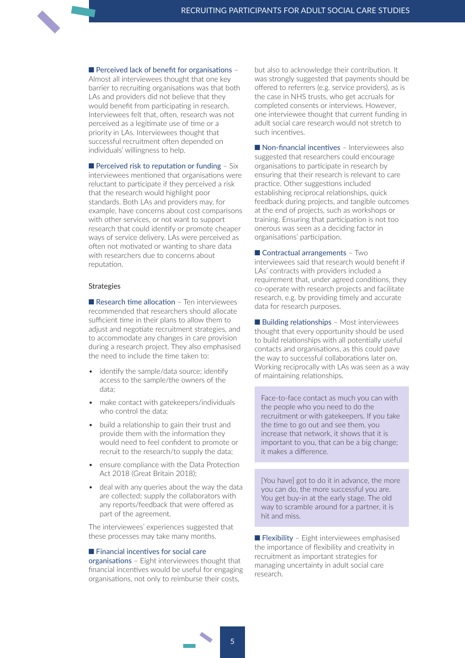$\blacksquare$  Perceived lack of benefit for organisations –

Almost all interviewees thought that one key barrier to recruiting organisations was that both LAs and providers did not believe that they would benefit from participating in research. Interviewees felt that, often, research was not perceived as a legitimate use of time or a priority in LAs. Interviewees thought that successful recruitment often depended on individuals' willingness to help.

Perceived risk to reputation or funding - Six interviewees mentioned that organisations were reluctant to participate if they perceived a risk that the research would highlight poor standards. Both LAs and providers may, for example, have concerns about cost comparisons with other services, or not want to support research that could identify or promote cheaper ways of service delivery. LAs were perceived as often not motivated or wanting to share data with researchers due to concerns about reputation.

#### **Strategies**

 $\blacksquare$  Research time allocation - Ten interviewees recommended that researchers should allocate sufficient time in their plans to allow them to adjust and negotiate recruitment strategies, and to accommodate any changes in care provision during a research project. They also emphasised the need to include the time taken to:

- identify the sample/data source; identify access to the sample/the owners of the data;
- make contact with gatekeepers/individuals who control the data;
- build a relationship to gain their trust and provide them with the information they would need to feel confident to promote or recruit to the research/to supply the data;
- ensure compliance with the Data Protection Act 2018 (Great Britain 2018);
- deal with any queries about the way the data are collected; supply the collaborators with any reports/feedback that were offered as part of the agreement.

The interviewees' experiences suggested that these processes may take many months.

#### $\blacksquare$  Financial incentives for social care

organisations – Eight interviewees thought that financial incentives would be useful for engaging organisations, not only to reimburse their costs,

but also to acknowledge their contribution. It was strongly suggested that payments should be offered to referrers (e.g. service providers), as is the case in NHS trusts, who get accruals for completed consents or interviews. However, one interviewee thought that current funding in adult social care research would not stretch to such incentives.

 $\blacksquare$  Non-financial incentives – Interviewees also suggested that researchers could encourage organisations to participate in research by ensuring that their research is relevant to care practice. Other suggestions included establishing reciprocal relationships, quick feedback during projects, and tangible outcomes at the end of projects, such as workshops or training. Ensuring that participation is not too onerous was seen as a deciding factor in organisations' participation.

 $\blacksquare$  Contractual arrangements - Two interviewees said that research would benefit if LAs' contracts with providers included a requirement that, under agreed conditions, they co-operate with research projects and facilitate research, e.g. by providing timely and accurate data for research purposes.

 $\blacksquare$  Building relationships – Most interviewees thought that every opportunity should be used to build relationships with all potentially useful contacts and organisations, as this could pave the way to successful collaborations later on. Working reciprocally with LAs was seen as a way of maintaining relationships.

Face-to-face contact as much you can with the people who you need to do the recruitment or with gatekeepers. If you take the time to go out and see them, you increase that network, it shows that it is important to you, that can be a big change; it makes a difference.

[You have] got to do it in advance, the more you can do, the more successful you are. You get buy-in at the early stage. The old way to scramble around for a partner, it is hit and miss.

 $\blacksquare$  Flexibility – Eight interviewees emphasised the importance of flexibility and creativity in recruitment as important strategies for managing uncertainty in adult social care research.

5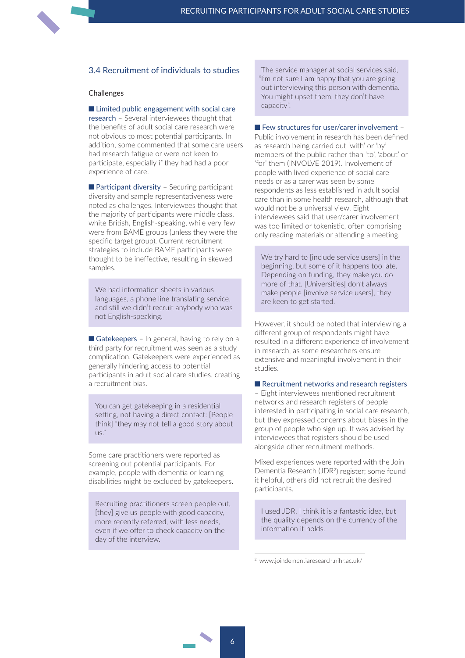#### <span id="page-10-0"></span>3.4 Recruitment of individuals to studies

#### **Challenges**

 $\blacksquare$  Limited public engagement with social care research – Several interviewees thought that the benefits of adult social care research were not obvious to most potential participants. In addition, some commented that some care users had research fatigue or were not keen to participate, especially if they had had a poor experience of care.

 $\blacksquare$  Participant diversity – Securing participant diversity and sample representativeness were noted as challenges. Interviewees thought that the majority of participants were middle class, white British, English-speaking, while very few were from BAME groups (unless they were the specific target group). Current recruitment strategies to include BAME participants were thought to be ineffective, resulting in skewed samples.

We had information sheets in various languages, a phone line translating service, and still we didn't recruit anybody who was not English-speaking.

Gatekeepers – In general, having to rely on a third party for recruitment was seen as a study complication. Gatekeepers were experienced as generally hindering access to potential participants in adult social care studies, creating a recruitment bias.

You can get gatekeeping in a residential setting, not having a direct contact: [People think] "they may not tell a good story about  $US.$ "

Some care practitioners were reported as screening out potential participants. For example, people with dementia or learning disabilities might be excluded by gatekeepers.

Recruiting practitioners screen people out, [they] give us people with good capacity, more recently referred, with less needs, even if we offer to check capacity on the day of the interview.

The service manager at social services said, "I'm not sure I am happy that you are going out interviewing this person with dementia. You might upset them, they don't have capacity".

#### $\blacksquare$  Few structures for user/carer involvement –

Public involvement in research has been defined as research being carried out 'with' or 'by' members of the public rather than 'to', 'about' or 'for' them (INVOLVE 2019). Involvement of people with lived experience of social care needs or as a carer was seen by some respondents as less established in adult social care than in some health research, although that would not be a universal view. Eight interviewees said that user/carer involvement was too limited or tokenistic, often comprising only reading materials or attending a meeting.

We try hard to finclude service users] in the beginning, but some of it happens too late. Depending on funding, they make you do more of that. [Universities] don't always make people [involve service users], they are keen to get started.

However, it should be noted that interviewing a different group of respondents might have resulted in a different experience of involvement in research, as some researchers ensure extensive and meaningful involvement in their studies.

#### $\blacksquare$  Recruitment networks and research registers

– Eight interviewees mentioned recruitment networks and research registers of people interested in participating in social care research, but they expressed concerns about biases in the group of people who sign up. It was advised by interviewees that registers should be used alongside other recruitment methods.

Mixed experiences were reported with the Join Dementia Research (JDR2) register; some found it helpful, others did not recruit the desired participants.

I used JDR. I think it is a fantastic idea, but the quality depends on the currency of the information it holds.

<sup>2</sup> [www.joindementiaresearch.nihr.ac.uk/](https://www.joindementiaresearch.nihr.ac.uk/)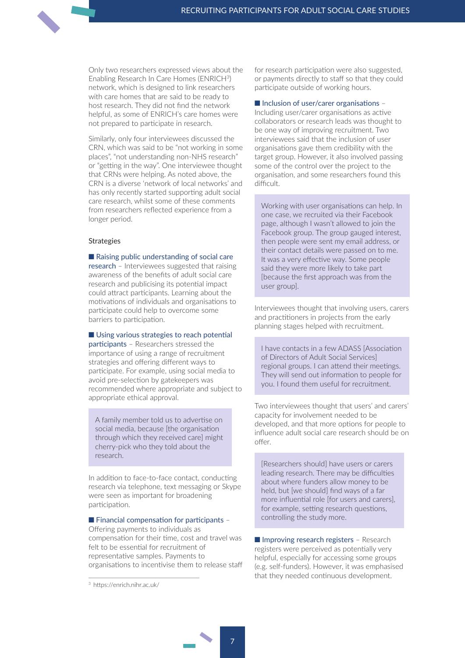Only two researchers expressed views about the Enabling Research In Care Homes (ENRICH3) network, which is designed to link researchers with care homes that are said to be ready to host research. They did not find the network helpful, as some of ENRICH's care homes were not prepared to participate in research.

Similarly, only four interviewees discussed the CRN, which was said to be "not working in some places", "not understanding non-NHS research" or "getting in the way". One interviewee thought that CRNs were helping. As noted above, the CRN is a diverse 'network of local networks' and has only recently started supporting adult social care research, whilst some of these comments from researchers reflected experience from a longer period.

#### **Strategies**

 $\blacksquare$  Raising public understanding of social care research – Interviewees suggested that raising awareness of the benefits of adult social care research and publicising its potential impact could attract participants. Learning about the motivations of individuals and organisations to participate could help to overcome some barriers to participation.

 $\blacksquare$  Using various strategies to reach potential

participants – Researchers stressed the importance of using a range of recruitment strategies and offering different ways to participate. For example, using social media to avoid pre-selection by gatekeepers was recommended where appropriate and subject to appropriate ethical approval.

A family member told us to advertise on social media, because [the organisation through which they received care] might cherry-pick who they told about the research.

In addition to face-to-face contact, conducting research via telephone, text messaging or Skype were seen as important for broadening participation.

 $\blacksquare$  Financial compensation for participants –

Offering payments to individuals as compensation for their time, cost and travel was felt to be essential for recruitment of representative samples. Payments to organisations to incentivise them to release staff for research participation were also suggested, or payments directly to staff so that they could participate outside of working hours.

 $\blacksquare$  Inclusion of user/carer organisations –

Including user/carer organisations as active collaborators or research leads was thought to be one way of improving recruitment. Two interviewees said that the inclusion of user organisations gave them credibility with the target group. However, it also involved passing some of the control over the project to the organisation, and some researchers found this difficult.

Working with user organisations can help. In one case, we recruited via their Facebook page, although I wasn't allowed to join the Facebook group. The group gauged interest, then people were sent my email address, or their contact details were passed on to me. It was a very effective way. Some people said they were more likely to take part [because the first approach was from the user group].

Interviewees thought that involving users, carers and practitioners in projects from the early planning stages helped with recruitment.

I have contacts in a few ADASS [Association of Directors of Adult Social Services] regional groups. I can attend their meetings. They will send out information to people for you. I found them useful for recruitment.

Two interviewees thought that users' and carers' capacity for involvement needed to be developed, and that more options for people to influence adult social care research should be on offer.

[Researchers should] have users or carers leading research. There may be difficulties about where funders allow money to be held, but [we should] find ways of a far more influential role [for users and carers], for example, setting research questions, controlling the study more.

 $\blacksquare$  Improving research registers – Research registers were perceived as potentially very helpful, especially for accessing some groups (e.g. self-funders). However, it was emphasised that they needed continuous development.

<sup>3</sup> <https://enrich.nihr.ac.uk/>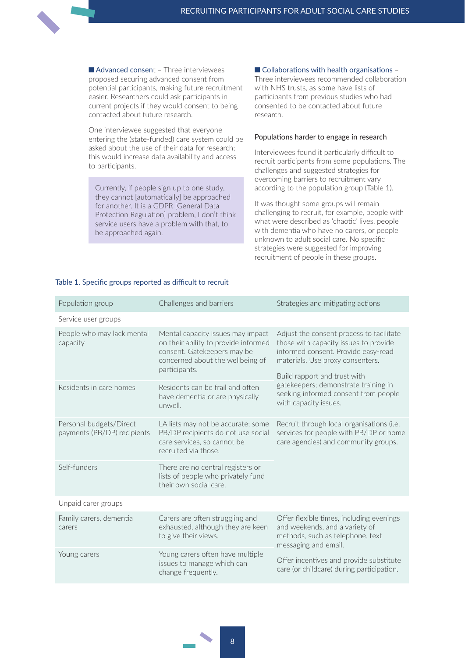$\blacksquare$  Advanced consent – Three interviewees proposed securing advanced consent from potential participants, making future recruitment easier. Researchers could ask participants in current projects if they would consent to being contacted about future research.

One interviewee suggested that everyone entering the (state-funded) care system could be asked about the use of their data for research; this would increase data availability and access to participants.

Currently, if people sign up to one study, they cannot [automatically] be approached for another. It is a GDPR [General Data Protection Regulation] problem, I don't think service users have a problem with that, to be approached again.

#### $\blacksquare$  Collaborations with health organisations -

Three interviewees recommended collaboration with NHS trusts, as some have lists of participants from previous studies who had consented to be contacted about future research.

#### populations harder to engage in research

Interviewees found it particularly difficult to recruit participants from some populations. The challenges and suggested strategies for overcoming barriers to recruitment vary according to the population group (Table 1).

It was thought some groups will remain challenging to recruit, for example, people with what were described as 'chaotic' lives, people with dementia who have no carers, or people unknown to adult social care. No specific strategies were suggested for improving recruitment of people in these groups.

| Population group                                       | Challenges and barriers                                                                                                                                       | Strategies and mitigating actions                                                                                                                                                                                                                                                                     |
|--------------------------------------------------------|---------------------------------------------------------------------------------------------------------------------------------------------------------------|-------------------------------------------------------------------------------------------------------------------------------------------------------------------------------------------------------------------------------------------------------------------------------------------------------|
| Service user groups                                    |                                                                                                                                                               |                                                                                                                                                                                                                                                                                                       |
| People who may lack mental<br>capacity                 | Mental capacity issues may impact<br>on their ability to provide informed<br>consent. Gatekeepers may be<br>concerned about the wellbeing of<br>participants. | Adjust the consent process to facilitate<br>those with capacity issues to provide<br>informed consent. Provide easy-read<br>materials. Use proxy consenters.<br>Build rapport and trust with<br>gatekeepers; demonstrate training in<br>seeking informed consent from people<br>with capacity issues. |
| Residents in care homes                                | Residents can be frail and often<br>have dementia or are physically<br>unwell.                                                                                |                                                                                                                                                                                                                                                                                                       |
| Personal budgets/Direct<br>payments (PB/DP) recipients | LA lists may not be accurate; some<br>PB/DP recipients do not use social<br>care services, so cannot be<br>recruited via those.                               | Recruit through local organisations (i.e.<br>services for people with PB/DP or home<br>care agencies) and community groups.                                                                                                                                                                           |
| Self-funders                                           | There are no central registers or<br>lists of people who privately fund<br>their own social care.                                                             |                                                                                                                                                                                                                                                                                                       |
| Unpaid carer groups                                    |                                                                                                                                                               |                                                                                                                                                                                                                                                                                                       |
| Family carers, dementia<br>carers                      | Carers are often struggling and<br>exhausted, although they are keen<br>to give their views.                                                                  | Offer flexible times, including evenings<br>and weekends, and a variety of<br>methods, such as telephone, text<br>messaging and email.                                                                                                                                                                |
| Young carers                                           | Young carers often have multiple<br>issues to manage which can<br>change frequently.                                                                          | Offer incentives and provide substitute<br>care (or childcare) during participation.                                                                                                                                                                                                                  |

#### Table 1. Specific groups reported as difficult to recruit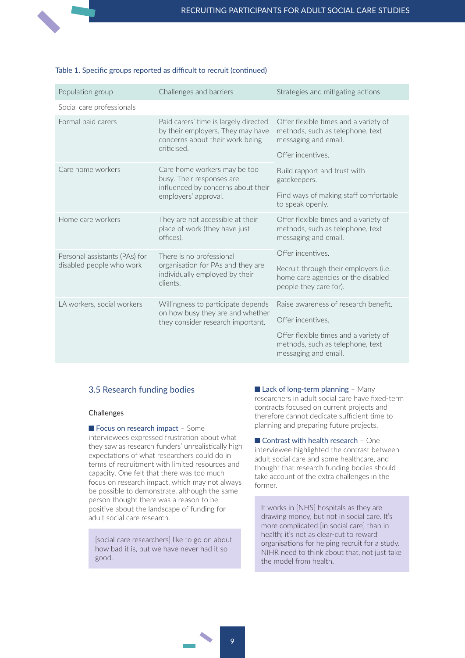<span id="page-13-0"></span>

| Population group                                                      | Challenges and barriers                                                                                                      | Strategies and mitigating actions                                                                                      |
|-----------------------------------------------------------------------|------------------------------------------------------------------------------------------------------------------------------|------------------------------------------------------------------------------------------------------------------------|
| Social care professionals                                             |                                                                                                                              |                                                                                                                        |
| Formal paid carers                                                    | Paid carers' time is largely directed<br>by their employers. They may have<br>concerns about their work being<br>criticised. | Offer flexible times and a variety of<br>methods, such as telephone, text<br>messaging and email.<br>Offer incentives. |
| Care home workers                                                     | Care home workers may be too<br>busy. Their responses are<br>influenced by concerns about their<br>employers' approval.      | Build rapport and trust with<br>gatekeepers.                                                                           |
|                                                                       |                                                                                                                              | Find ways of making staff comfortable<br>to speak openly.                                                              |
| Home care workers                                                     | They are not accessible at their<br>place of work (they have just<br>offices).                                               | Offer flexible times and a variety of<br>methods, such as telephone, text<br>messaging and email.                      |
| Personal assistants (PAs) for<br>disabled people who work<br>clients. | There is no professional                                                                                                     | Offer incentives.                                                                                                      |
|                                                                       | organisation for PAs and they are<br>individually employed by their                                                          | Recruit through their employers (i.e.<br>home care agencies or the disabled<br>people they care for).                  |
| LA workers, social workers                                            | Willingness to participate depends<br>on how busy they are and whether<br>they consider research important.                  | Raise awareness of research benefit.                                                                                   |
|                                                                       |                                                                                                                              | Offer incentives.                                                                                                      |
|                                                                       |                                                                                                                              | Offer flexible times and a variety of<br>methods, such as telephone, text<br>messaging and email.                      |

#### table 1. specific groups reported as difficult to recruit (continued)

#### 3.5 Research funding bodies

#### **Challenges**

Focus on research impact - Some interviewees expressed frustration about what they saw as research funders' unrealistically high expectations of what researchers could do in terms of recruitment with limited resources and capacity. One felt that there was too much focus on research impact, which may not always be possible to demonstrate, although the same person thought there was a reason to be positive about the landscape of funding for adult social care research.

[social care researchers] like to go on about how bad it is, but we have never had it so good.

 $\blacksquare$  Lack of long-term planning - Many researchers in adult social care have fixed-term contracts focused on current projects and therefore cannot dedicate sufficient time to planning and preparing future projects.

 $\blacksquare$  Contrast with health research - One interviewee highlighted the contrast between adult social care and some healthcare, and thought that research funding bodies should take account of the extra challenges in the former.

It works in [NHS] hospitals as they are drawing money, but not in social care. It's more complicated [in social care] than in health; it's not as clear-cut to reward organisations for helping recruit for a study. NIHR need to think about that, not just take the model from health.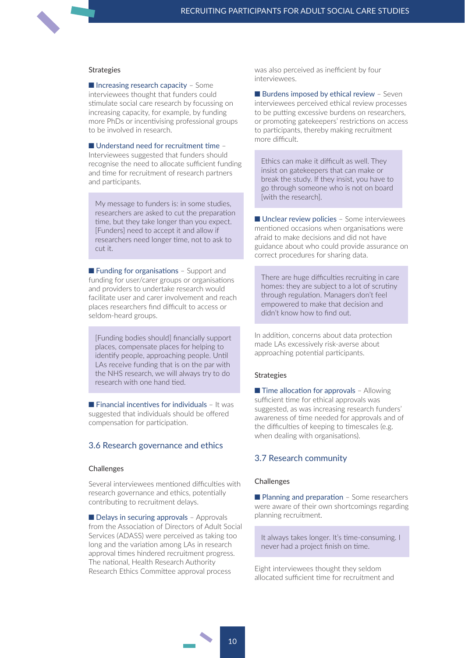#### <span id="page-14-0"></span>**Strategies**

 $\blacksquare$  Increasing research capacity – Some interviewees thought that funders could stimulate social care research by focussing on increasing capacity, for example, by funding more PhDs or incentivising professional groups to be involved in research.

#### $\blacksquare$  Understand need for recruitment time –

Interviewees suggested that funders should recognise the need to allocate sufficient funding and time for recruitment of research partners and participants.

My message to funders is: in some studies, researchers are asked to cut the preparation time, but they take longer than you expect. [Funders] need to accept it and allow if researchers need longer time, not to ask to cut it.

 $\blacksquare$  Funding for organisations – Support and funding for user/carer groups or organisations and providers to undertake research would facilitate user and carer involvement and reach places researchers find difficult to access or seldom-heard groups.

[Funding bodies should] financially support places, compensate places for helping to identify people, approaching people. Until LAs receive funding that is on the par with the NHS research, we will always try to do research with one hand tied.

 $\blacksquare$  Financial incentives for individuals - It was suggested that individuals should be offered compensation for participation.

#### 3.6 Research governance and ethics

#### **Challenges**

Several interviewees mentioned difficulties with research governance and ethics, potentially contributing to recruitment delays.

 $\blacksquare$  Delays in securing approvals – Approvals from the Association of Directors of Adult Social Services (ADASS) were perceived as taking too long and the variation among LAs in research approval times hindered recruitment progress. The national, Health Research Authority Research Ethics Committee approval process

was also perceived as inefficient by four interviewees.

 $\blacksquare$  Burdens imposed by ethical review – Seven interviewees perceived ethical review processes to be putting excessive burdens on researchers, or promoting gatekeepers' restrictions on access to participants, thereby making recruitment more difficult.

Ethics can make it difficult as well. They insist on gatekeepers that can make or break the study. If they insist, you have to go through someone who is not on board [with the research].

 $\blacksquare$  Unclear review policies – Some interviewees mentioned occasions when organisations were afraid to make decisions and did not have guidance about who could provide assurance on correct procedures for sharing data.

There are huge difficulties recruiting in care homes: they are subject to a lot of scrutiny through regulation. Managers don't feel empowered to make that decision and didn't know how to find out.

In addition, concerns about data protection made LAs excessively risk-averse about approaching potential participants.

#### **Strategies**

 $\blacksquare$  Time allocation for approvals – Allowing sufficient time for ethical approvals was suggested, as was increasing research funders' awareness of time needed for approvals and of the difficulties of keeping to timescales (e.g. when dealing with organisations).

#### 3.7 Research community

#### challenges

 $\blacksquare$  Planning and preparation – Some researchers were aware of their own shortcomings regarding planning recruitment.

It always takes longer. It's time-consuming. I never had a project finish on time.

Eight interviewees thought they seldom allocated sufficient time for recruitment and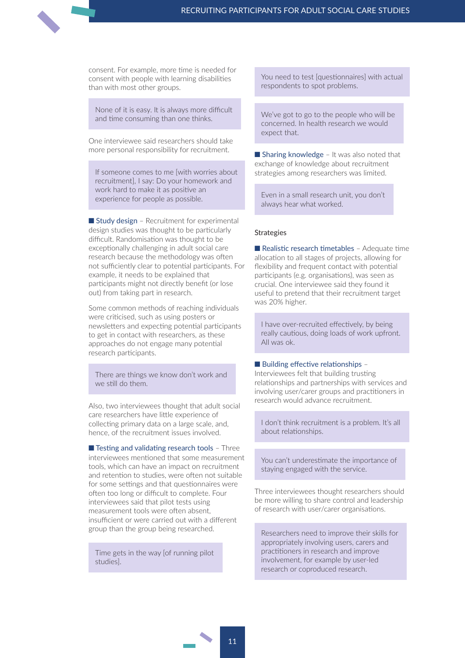consent. For example, more time is needed for consent with people with learning disabilities than with most other groups.

None of it is easy. It is always more difficult and time consuming than one thinks.

One interviewee said researchers should take more personal responsibility for recruitment.

If someone comes to me [with worries about recruitment], I say: Do your homework and work hard to make it as positive an experience for people as possible.

 $\blacksquare$  Study design – Recruitment for experimental design studies was thought to be particularly difficult. Randomisation was thought to be exceptionally challenging in adult social care research because the methodology was often not sufficiently clear to potential participants. For example, it needs to be explained that participants might not directly benefit (or lose out) from taking part in research.

Some common methods of reaching individuals were criticised, such as using posters or newsletters and expecting potential participants to get in contact with researchers, as these approaches do not engage many potential research participants.

There are things we know don't work and we still do them.

Also, two interviewees thought that adult social care researchers have little experience of collecting primary data on a large scale, and, hence, of the recruitment issues involved.

 $\blacksquare$  Testing and validating research tools - Three interviewees mentioned that some measurement tools, which can have an impact on recruitment and retention to studies, were often not suitable for some settings and that questionnaires were often too long or difficult to complete. Four interviewees said that pilot tests using measurement tools were often absent, insufficient or were carried out with a different group than the group being researched.

Time gets in the way [of running pilot studies].

You need to test [questionnaires] with actual respondents to spot problems.

We've got to go to the people who will be concerned. In health research we would expect that.

 $\blacksquare$  Sharing knowledge – It was also noted that exchange of knowledge about recruitment strategies among researchers was limited.

Even in a small research unit, you don't always hear what worked.

#### **Strategies**

 $\blacksquare$  Realistic research timetables - Adequate time allocation to all stages of projects, allowing for flexibility and frequent contact with potential participants (e.g. organisations), was seen as crucial. One interviewee said they found it useful to pretend that their recruitment target was 20% higher.

I have over-recruited effectively, by being really cautious, doing loads of work upfront. All was ok.

#### $\blacksquare$  Building effective relationships –

Interviewees felt that building trusting relationships and partnerships with services and involving user/carer groups and practitioners in research would advance recruitment.

I don't think recruitment is a problem. It's all about relationships.

You can't underestimate the importance of staying engaged with the service.

Three interviewees thought researchers should be more willing to share control and leadership of research with user/carer organisations.

Researchers need to improve their skills for appropriately involving users, carers and practitioners in research and improve involvement, for example by user-led research or coproduced research.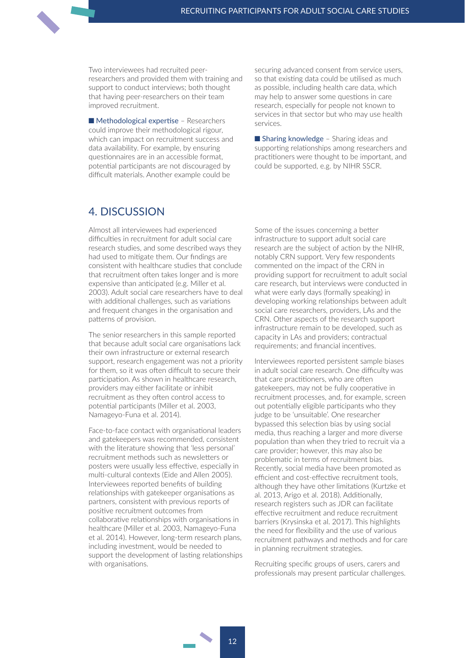<span id="page-16-0"></span>Two interviewees had recruited peerresearchers and provided them with training and support to conduct interviews; both thought that having peer-researchers on their team improved recruitment.

 $\blacksquare$  Methodological expertise – Researchers could improve their methodological rigour, which can impact on recruitment success and data availability. For example, by ensuring questionnaires are in an accessible format, potential participants are not discouraged by difficult materials. Another example could be

securing advanced consent from service users, so that existing data could be utilised as much as possible, including health care data, which may help to answer some questions in care research, especially for people not known to services in that sector but who may use health services.

 $\blacksquare$  Sharing knowledge – Sharing ideas and supporting relationships among researchers and practitioners were thought to be important, and could be supported, e.g. by NIHR SSCR.

## 4. discussion

Almost all interviewees had experienced difficulties in recruitment for adult social care research studies, and some described ways they had used to mitigate them. Our findings are consistent with healthcare studies that conclude that recruitment often takes longer and is more expensive than anticipated (e.g. Miller et al. 2003). Adult social care researchers have to deal with additional challenges, such as variations and frequent changes in the organisation and patterns of provision.

The senior researchers in this sample reported that because adult social care organisations lack their own infrastructure or external research support, research engagement was not a priority for them, so it was often difficult to secure their participation. As shown in healthcare research, providers may either facilitate or inhibit recruitment as they often control access to potential participants (Miller et al. 2003, Namageyo-Funa et al. 2014).

Face-to-face contact with organisational leaders and gatekeepers was recommended, consistent with the literature showing that 'less personal' recruitment methods such as newsletters or posters were usually less effective, especially in multi-cultural contexts (Eide and Allen 2005). Interviewees reported benefits of building relationships with gatekeeper organisations as partners, consistent with previous reports of positive recruitment outcomes from collaborative relationships with organisations in healthcare (Miller et al. 2003, Namageyo-Funa et al. 2014). However, long-term research plans, including investment, would be needed to support the development of lasting relationships with organisations.

Some of the issues concerning a better infrastructure to support adult social care research are the subject of action by the NIHR, notably CRN support. Very few respondents commented on the impact of the CRN in providing support for recruitment to adult social care research, but interviews were conducted in what were early days (formally speaking) in developing working relationships between adult social care researchers, providers, LAs and the CRN. Other aspects of the research support infrastructure remain to be developed, such as capacity in LAs and providers; contractual requirements; and financial incentives.

Interviewees reported persistent sample biases in adult social care research. One difficulty was that care practitioners, who are often gatekeepers, may not be fully cooperative in recruitment processes, and, for example, screen out potentially eligible participants who they judge to be 'unsuitable'. One researcher bypassed this selection bias by using social media, thus reaching a larger and more diverse population than when they tried to recruit via a care provider; however, this may also be problematic in terms of recruitment bias. Recently, social media have been promoted as efficient and cost-effective recruitment tools, although they have other limitations (Kurtzke et al. 2013, Arigo et al. 2018). Additionally, research registers such as JDR can facilitate effective recruitment and reduce recruitment barriers (Krysinska et al. 2017). This highlights the need for flexibility and the use of various recruitment pathways and methods and for care in planning recruitment strategies.

Recruiting specific groups of users, carers and professionals may present particular challenges.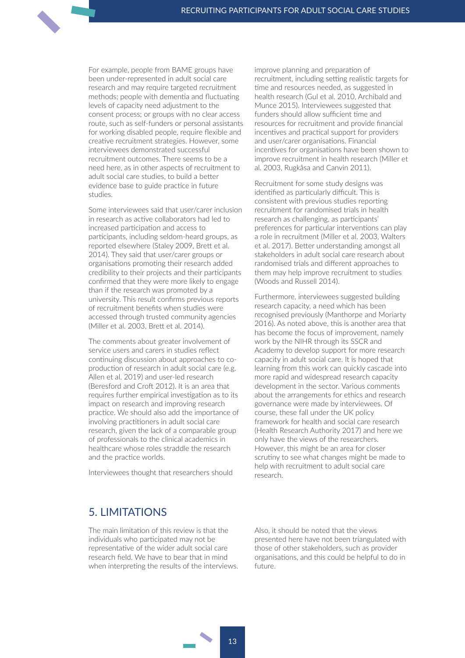<span id="page-17-0"></span>For example, people from BAME groups have been under-represented in adult social care research and may require targeted recruitment methods; people with dementia and fluctuating levels of capacity need adjustment to the consent process; or groups with no clear access route, such as self-funders or personal assistants for working disabled people, require flexible and creative recruitment strategies. However, some interviewees demonstrated successful recruitment outcomes. There seems to be a need here, as in other aspects of recruitment to adult social care studies, to build a better evidence base to guide practice in future studies.

Some interviewees said that user/carer inclusion in research as active collaborators had led to increased participation and access to participants, including seldom-heard groups, as reported elsewhere (Staley 2009, Brett et al. 2014). They said that user/carer groups or organisations promoting their research added credibility to their projects and their participants confirmed that they were more likely to engage than if the research was promoted by a university. This result confirms previous reports of recruitment benefits when studies were accessed through trusted community agencies (Miller et al. 2003, Brett et al. 2014).

The comments about greater involvement of service users and carers in studies reflect continuing discussion about approaches to coproduction of research in adult social care (e.g. Allen et al. 2019) and user-led research (Beresford and Croft 2012). It is an area that requires further empirical investigation as to its impact on research and improving research practice. We should also add the importance of involving practitioners in adult social care research, given the lack of a comparable group of professionals to the clinical academics in healthcare whose roles straddle the research and the practice worlds.

Interviewees thought that researchers should

improve planning and preparation of recruitment, including setting realistic targets for time and resources needed, as suggested in health research (Gul et al. 2010, Archibald and Munce 2015). Interviewees suggested that funders should allow sufficient time and resources for recruitment and provide financial incentives and practical support for providers and user/carer organisations. Financial incentives for organisations have been shown to improve recruitment in health research (Miller et al. 2003, Rugkåsa and Canvin 2011).

Recruitment for some study designs was identified as particularly difficult. This is consistent with previous studies reporting recruitment for randomised trials in health research as challenging, as participants' preferences for particular interventions can play a role in recruitment (Miller et al. 2003, Walters et al. 2017). Better understanding amongst all stakeholders in adult social care research about randomised trials and different approaches to them may help improve recruitment to studies (Woods and Russell 2014).

Furthermore, interviewees suggested building research capacity, a need which has been recognised previously (Manthorpe and Moriarty 2016). As noted above, this is another area that has become the focus of improvement, namely work by the NIHR through its SSCR and Academy to develop support for more research capacity in adult social care. It is hoped that learning from this work can quickly cascade into more rapid and widespread research capacity development in the sector. Various comments about the arrangements for ethics and research governance were made by interviewees. Of course, these fall under the UK policy framework for health and social care research (Health Research Authority 2017) and here we only have the views of the researchers. However, this might be an area for closer scrutiny to see what changes might be made to help with recruitment to adult social care research.

## 5. liMitations

The main limitation of this review is that the individuals who participated may not be representative of the wider adult social care research field. We have to bear that in mind when interpreting the results of the interviews.

Also, it should be noted that the views presented here have not been triangulated with those of other stakeholders, such as provider organisations, and this could be helpful to do in future.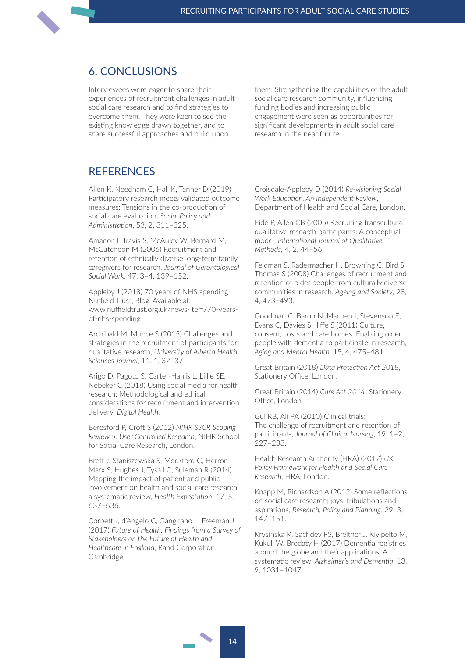## <span id="page-18-0"></span>6. conclusions

Interviewees were eager to share their experiences of recruitment challenges in adult social care research and to find strategies to overcome them. They were keen to see the existing knowledge drawn together, and to share successful approaches and build upon

them. Strengthening the capabilities of the adult social care research community, influencing funding bodies and increasing public engagement were seen as opportunities for significant developments in adult social care research in the near future.

## **REFERENCES**

Allen K, Needham C, Hall K, Tanner D (2019) Participatory research meets validated outcome measures: Tensions in the co-production of social care evaluation, *Social Policy and Administration*, 53, 2, 311–325.

Amador T, Travis S, McAuley W, Bernard M, McCutcheon M (2006) Recruitment and retention of ethnically diverse long-term family caregivers for research, *Journal of Gerontological Social Work*, 47, 3–4, 139–152.

Appleby J (2018) 70 years of NHS spending, Nuffield Trust, Blog, Available at: [www.nuffieldtrust.org.uk/news-item/70-years](https://www.nuffieldtrust.org.uk/news-item/70-years-of-nhs-spending)[of-nhs-spending](https://www.nuffieldtrust.org.uk/news-item/70-years-of-nhs-spending)

Archibald M, Munce S (2015) Challenges and strategies in the recruitment of participants for qualitative research, *University of Alberta Health Sciences Journal*, 11, 1, 32–37.

Arigo D, Pagoto S, Carter-Harris L, Lillie SE, Nebeker C (2018) Using social media for health research: Methodological and ethical considerations for recruitment and intervention delivery, *Digital Health.*

Beresford P, Croft S (2012) *NIHR SSCR Scoping Review 5: User Controlled Research*, NIHR School for Social Care Research, London.

Brett J, Staniszewska S, Mockford C, Herron-Marx S, Hughes J, Tysall C, Suleman R (2014) Mapping the impact of patient and public involvement on health and social care research: a systematic review, *Health Expectation*, 17, 5, 637–636.

Corbett J, d'Angelo C, Gangitano L, Freeman J (2017) *Future of Health: Findings from a Survey of Stakeholders on the Future of Health and Healthcare in England*, Rand Corporation, Cambridge.

Croisdale-Appleby D (2014) *Re-visioning Social Work Education, An Independent Review*, Department of Health and Social Care, London.

Eide P, Allen CB (2005) Recruiting transcultural qualitative research participants: A conceptual model, *International Journal of Qualitative Methods*, 4, 2, 44–56.

Feldman S, Radermacher H, Browning C, Bird S, Thomas S (2008) Challenges of recruitment and retention of older people from culturally diverse communities in research, *Ageing and Society*, 28, 4, 473–493.

Goodman C, Baron N, Machen I, Stevenson E, Evans C, Davies S, Iliffe S (2011) Culture, consent, costs and care homes: Enabling older people with dementia to participate in research, *Aging and Mental Health,* 15, 4, 475–481.

Great Britain (2018) *Data Protection Act 2018*, Stationery Office, London.

Great Britain (2014) *Care Act 2014*, Stationery Office, London.

Gul RB, Ali PA (2010) Clinical trials: The challenge of recruitment and retention of participants, *Journal of Clinical Nursing*, 19, 1–2, 227–233.

Health Research Authority (HRA) (2017) *UK Policy Framework for Health and Social Care Research*, HRA, London.

Knapp M, Richardson A (2012) Some reflections on social care research: joys, tribulations and aspirations, *Research, Policy and Planning*, 29, 3, 147–151.

Krysinska K, Sachdev PS, Breitner J, Kivipelto M, Kukull W, Brodaty H (2017) Dementia registries around the globe and their applications: A systematic review, *Alzheimer's and Dementia*, 13, 9, 1031–1047.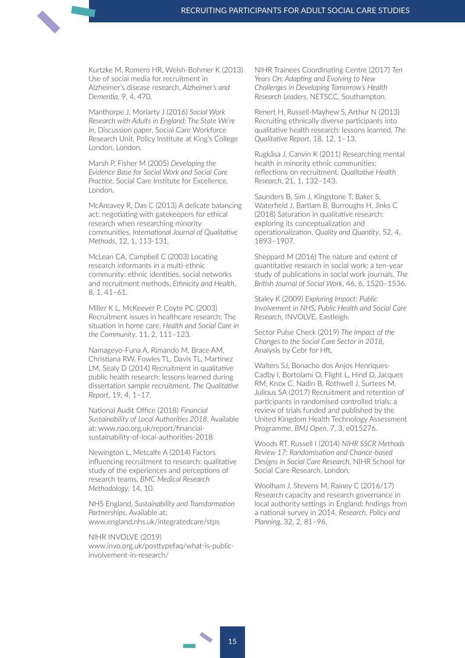Kurtzke M, Romero HR, Welsh-Bohmer K (2013) Use of social media for recruitment in Alzheimer's disease research, *Alzheimer's and Dementia*, 9, 4, 470.

Manthorpe J, Moriarty J (2016) *Social Work Research with Adults in England: The State We're In*, Discussion paper, Social Care Workforce Research Unit, Policy Institute at King's College London, London.

Marsh P, Fisher M (2005) *Developing the Evidence Base for Social Work and Social Care Practice*, Social Care Institute for Excellence, London.

McAreavey R, Das C (2013) A delicate balancing act: negotiating with gatekeepers for ethical research when researching minority communities, *International Journal of Qualitative Methods*, 12, 1, 113-131.

McLean CA, Campbell C (2003) Locating research informants in a multi-ethnic community: ethnic identities, social networks and recruitment methods, *Ethnicity and Health*, 8, 1, 41–61.

Miller K L, McKeever P, Coyte PC (2003) Recruitment issues in healthcare research: The situation in home care, *Health and Social Care in the Community*, 11, 2, 111–123.

Namageyo-Funa A, Rimando M, Brace AM, Christiana RW, Fowles TL, Davis TL, Martinez LM, Sealy D (2014) Recruitment in qualitative public health research: lessons learned during dissertation sample recruitment, *The Qualitative Report*, 19, 4, 1–17.

National Audit Office (2018) *Financial Sustainability of Local Authorities 2018*, Available at: [www.nao.org.uk/report/financial](https://www.nao.org.uk/report/financial-sustainability-of-local-authorities-2018)[sustainability-of-local-authorities-2018](https://www.nao.org.uk/report/financial-sustainability-of-local-authorities-2018)

Newington L, Metcalfe A (2014) Factors influencing recruitment to research: qualitative study of the experiences and perceptions of research teams, *BMC Medical Research Methodology*, 14, 10.

NHS England, *Sustainability and Transformation Partnerships*, Available at: [www.england.nhs.uk/integratedcare/stps](https://www.england.nhs.uk/integratedcare/stps)

NIHR INVOLVE (2019) [www.invo.org.uk/posttypefaq/what-is-public](https://www.invo.org.uk/posttypefaq/what-is-public-involvement-in-research/)[involvement-in-research/](https://www.invo.org.uk/posttypefaq/what-is-public-involvement-in-research/)

NIHR Trainees Coordinating Centre (2017) *Ten Years On: Adapting and Evolving to New Challenges in Developing Tomorrow's Health Research Leaders*, NETSCC, Southampton.

Renert H, Russell-Mayhew S, Arthur N (2013) Recruiting ethnically diverse participants into qualitative health research: lessons learned, *The Qualitative Report*, 18, 12, 1–13.

Rugkåsa J, Canvin K (2011) Researching mental health in minority ethnic communities: reflections on recruitment, *Qualitative Health Research*, 21, 1, 132–143.

Saunders B, Sim J, Kingstone T, Baker S, Waterfield J, Bartlam B, Burroughs H, Jinks C (2018) Saturation in qualitative research: exploring its conceptualization and operationalization, *Quality and Quantity*, 52, 4, 1893–1907.

Sheppard M (2016) The nature and extent of quantitative research in social work: a ten-year study of publications in social work journals, *The British Journal of Social Work*, 46, 6, 1520–1536.

Staley K (2009) *Exploring Impact: Public Involvement in NHS, Public Health and Social Care Research*, INVOLVE, Eastleigh.

Sector Pulse Check (2019) *The Impact of the Changes to the Social Care Sector in 2018*, Analysis by Cebr for Hft.

Walters SJ, Bonacho dos Anjos Henriques-Cadby I, Bortolami O, Flight L, Hind D, Jacques RM, Knox C, Nadin B, Rothwell J, Surtees M, Julious SA (2017) Recruitment and retention of participants in randomised controlled trials: a review of trials funded and published by the United Kingdom Health Technology Assessment Programme, *BMJ Open*, 7, 3, e015276.

Woods RT, Russell I (2014) *NIHR SSCR Methods Review 17: Randomisation and Chance-based Designs in Social Care Research*, NIHR School for Social Care Research, London.

Woolham J, Stevens M, Rainey C (2016/17) Research capacity and research governance in local authority settings in England: findings from a national survey in 2014, *Research, Policy and Planning*, 32, 2, 81–96.